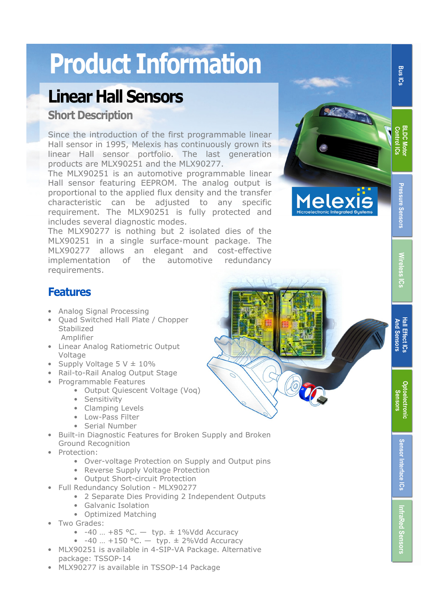## Product Information

## Linear Hall Sensors

#### Short Description

Since the introduction of the first programmable linear Hall sensor in 1995, Melexis has continuously grown its linear Hall sensor portfolio. The last generation products are MLX90251 and the MLX90277.

The MLX90251 is an automotive programmable linear Hall sensor featuring EEPROM. The analog output is proportional to the applied flux density and the transfer characteristic can be adjusted to any specific requirement. The MLX90251 is fully protected and includes several diagnostic modes.

The MLX90277 is nothing but 2 isolated dies of the MLX90251 in a single surface-mount package. The MLX90277 allows an elegant and cost-effective implementation of the automotive redundancy requirements.



# Pressure Sensors

**Bus ICs** 

**BLDC Moto Control ICs** 

# **Wireless** Hall Effect ICs Wireless ICs ៊ូ

#### **Features**

- Analog Signal Processing
- Quad Switched Hall Plate / Chopper Stabilized Amplifier
- Linear Analog Ratiometric Output Voltage
- Supply Voltage  $5 V \pm 10\%$
- Rail-to-Rail Analog Output Stage
- Programmable Features
	- Output Quiescent Voltage (Voq)
	- Sensitivity
	- Clamping Levels
	- Low-Pass Filter
	- Serial Number
- Built-in Diagnostic Features for Broken Supply and Broken Ground Recognition
- Protection:
	- Over-voltage Protection on Supply and Output pins
	- Reverse Supply Voltage Protection
	- Output Short-circuit Protection
- Full Redundancy Solution MLX90277
	- 2 Separate Dies Providing 2 Independent Outputs
	- Galvanic Isolation
		- Optimized Matching
- Two Grades:
	- $-40$  ...  $+85$  °C.  $-$  typ.  $\pm 1\%$ Vdd Accuracy
	- $-40$  ...  $+150$  °C.  $-$  typ.  $\pm$  2%Vdd Accuracy
- MLX90251 is available in 4-SIP-VA Package. Alternative package: TSSOP-14
- MLX90277 is available in TSSOP-14 Package

Bus ICs BLDC Motor Pressure Sensors || Wireless ICs || Hall Effect ICs || Optoelectronic Sensors || Sensor Bus I<br>Bus ICs || InfraRed Sensors Sensors || Wireless ICs || And Sensors || Sensors **Hall Effect IC: And Sensors** And Sensors **Optoelectronic** Optoelectronic Sensors Sensor Interface ICs

Sensor Interface ICs

**InfraRed Sensors**